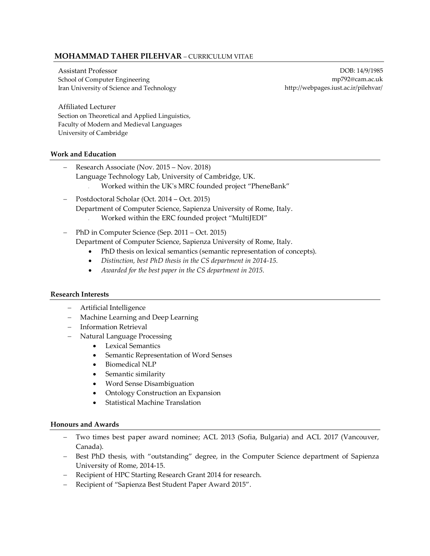# **MOHAMMAD TAHER PILEHVAR** – CURRICULUM VITAE

Assistant Professor School of Computer Engineering Iran University of Science and Technology

DOB: 14/9/1985 mp792@cam.ac.uk http://webpages.iust.ac.ir/pilehvar/

Affiliated Lecturer Section on Theoretical and Applied Linguistics, Faculty of Modern and Medieval Languages University of Cambridge

## **Work and Education**

- − Research Associate (Nov. 2015 Nov. 2018) Language Technology Lab, University of Cambridge, UK. • Worked within the UK's MRC founded project "PheneBank"
- − Postdoctoral Scholar (Oct. 2014 Oct. 2015) Department of Computer Science, Sapienza University of Rome, Italy. • Worked within the ERC founded project "MultiJEDI"
- − PhD in Computer Science (Sep. 2011 Oct. 2015) Department of Computer Science, Sapienza University of Rome, Italy.
	- PhD thesis on lexical semantics (semantic representation of concepts).
	- *Distinction, best PhD thesis in the CS department in 2014-15.*
	- *Awarded for the best paper in the CS department in 2015.*

### **Research Interests**

- − Artificial Intelligence
- − Machine Learning and Deep Learning
- − Information Retrieval
- − Natural Language Processing
	- Lexical Semantics
	- Semantic Representation of Word Senses
	- Biomedical NLP
	- Semantic similarity
	- Word Sense Disambiguation
	- Ontology Construction an Expansion
	- Statistical Machine Translation

### **Honours and Awards**

- Two times best paper award nominee; ACL 2013 (Sofia, Bulgaria) and ACL 2017 (Vancouver, Canada).
- − Best PhD thesis, with "outstanding" degree, in the Computer Science department of Sapienza University of Rome, 2014-15.
- − Recipient of HPC Starting Research Grant 2014 for research.
- − Recipient of "Sapienza Best Student Paper Award 2015".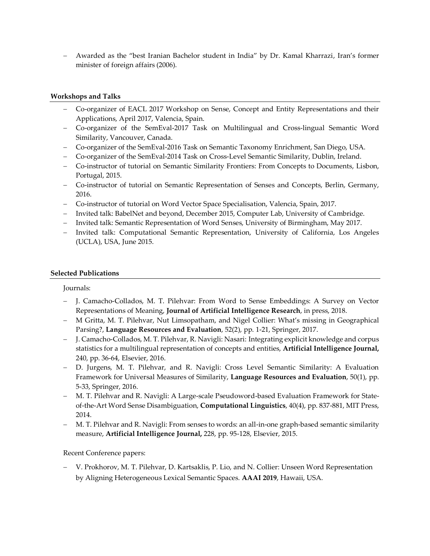− Awarded as the "best Iranian Bachelor student in India" by Dr. Kamal Kharrazi, Iran's former minister of foreign affairs (2006).

## **Workshops and Talks**

- − Co-organizer of EACL 2017 Workshop on Sense, Concept and Entity Representations and their Applications, April 2017, Valencia, Spain.
- − Co-organizer of the SemEval-2017 Task on Multilingual and Cross-lingual Semantic Word Similarity, Vancouver, Canada.
- − Co-organizer of the SemEval-2016 Task on Semantic Taxonomy Enrichment, San Diego, USA.
- − Co-organizer of the SemEval-2014 Task on Cross-Level Semantic Similarity, Dublin, Ireland.
- − Co-instructor of tutorial on Semantic Similarity Frontiers: From Concepts to Documents, Lisbon, Portugal, 2015.
- − Co-instructor of tutorial on Semantic Representation of Senses and Concepts, Berlin, Germany, 2016.
- − Co-instructor of tutorial on Word Vector Space Specialisation, Valencia, Spain, 2017.
- − Invited talk: BabelNet and beyond, December 2015, Computer Lab, University of Cambridge.
- − Invited talk: Semantic Representation of Word Senses, University of Birmingham, May 2017.
- − Invited talk: Computational Semantic Representation, University of California, Los Angeles (UCLA), USA, June 2015.

## **Selected Publications**

Journals:

- − J. Camacho-Collados, M. T. Pilehvar: From Word to Sense Embeddings: A Survey on Vector Representations of Meaning, **Journal of Artificial Intelligence Research**, in press, 2018.
- − M Gritta, M. T. Pilehvar, Nut Limsopatham, and Nigel Collier: What's missing in Geographical Parsing?, **Language Resources and Evaluation**, 52(2), pp. 1-21, Springer, 2017.
- J. Camacho-Collados, M. T. Pilehvar, R. Navigli: Nasari: Integrating explicit knowledge and corpus statistics for a multilingual representation of concepts and entities, **Artificial Intelligence Journal,** 240, pp. 36-64, Elsevier, 2016.
- − D. Jurgens, M. T. Pilehvar, and R. Navigli: Cross Level Semantic Similarity: A Evaluation Framework for Universal Measures of Similarity, **Language Resources and Evaluation**, 50(1), pp. 5-33, Springer, 2016.
- − M. T. Pilehvar and R. Navigli: A Large-scale Pseudoword-based Evaluation Framework for Stateof-the-Art Word Sense Disambiguation, **Computational Linguistics**, 40(4), pp. 837-881, MIT Press, 2014.
- − M. T. Pilehvar and R. Navigli: From senses to words: an all-in-one graph-based semantic similarity measure, **Artificial Intelligence Journal,** 228, pp. 95-128, Elsevier, 2015.

Recent Conference papers:

− V. Prokhorov, M. T. Pilehvar, D. Kartsaklis, P. Lio, and N. Collier: Unseen Word Representation by Aligning Heterogeneous Lexical Semantic Spaces. **AAAI 2019**, Hawaii, USA.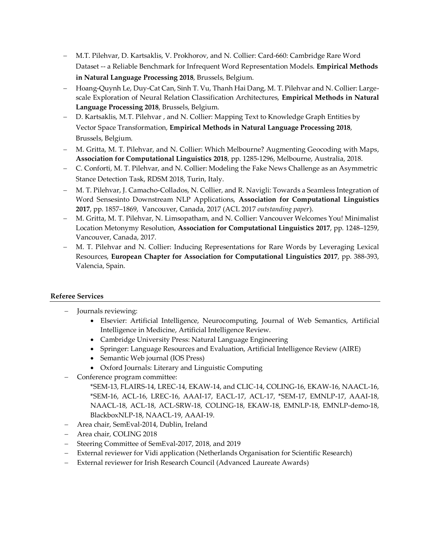- − M.T. Pilehvar, D. Kartsaklis, V. Prokhorov, and N. Collier: [Card-660: Cambridge Rare](https://pilehvar.github.io/card-660/) Word Dataset -- [a Reliable Benchmark for Infrequent Word Representation Models.](https://pilehvar.github.io/card-660/) **Empirical Methods in Natural Language Processing 2018**, Brussels, Belgium.
- − Hoang-Quynh Le, Duy-Cat Can, Sinh T. Vu, Thanh Hai Dang, M. T. Pilehvar and N. Collier: Largescale Exploration of Neural Relation Classification Architectures, **Empirical Methods in Natural Language Processing 2018**, Brussels, Belgium.
- − D. Kartsaklis, M.T. Pilehvar , and N. Collier: Mapping Text to Knowledge Graph Entities by Vector Space Transformation, **Empirical Methods in Natural Language Processing 2018**, Brussels, Belgium.
- − M. Gritta, M. T. Pilehvar, and N. Collier: Which Melbourne? Augmenting Geocoding with Maps, **Association for Computational Linguistics 2018**, pp. 1285-1296, Melbourne, Australia, 2018.
- − C. Conforti, M. T. Pilehvar, and N. Collier: Modeling the Fake News Challenge as an Asymmetric Stance Detection Task, RDSM 2018, Turin, Italy.
- − M. T. Pilehvar, J. Camacho-Collados, N. Collier, and R. Navigli: Towards a Seamless Integration of Word Sensesinto Downstream NLP Applications, **Association for Computational Linguistics 2017**, pp. 1857–1869, Vancouver, Canada, 2017 (ACL 2017 *outstanding paper*).
- − M. Gritta, M. T. Pilehvar, N. Limsopatham, and N. Collier: Vancouver Welcomes You! Minimalist Location Metonymy Resolution, **Association for Computational Linguistics 2017**, pp. 1248–1259, Vancouver, Canada, 2017.
- − M. T. Pilehvar and N. Collier: Inducing Representations for Rare Words by Leveraging Lexical Resources, **European Chapter for Association for Computational Linguistics 2017**, pp. 388-393, Valencia, Spain.

# **Referee Services**

- − Journals reviewing:
	- Elsevier: Artificial Intelligence, Neurocomputing, Journal of Web Semantics, Artificial Intelligence in Medicine, Artificial Intelligence Review.
	- Cambridge University Press: Natural Language Engineering
	- Springer: Language Resources and Evaluation, Artificial Intelligence Review (AIRE)
	- Semantic Web journal (IOS Press)
	- Oxford Journals: Literary and Linguistic Computing
- − Conference program committee:

\*SEM-13, FLAIRS-14, LREC-14, EKAW-14, and CLIC-14, COLING-16, EKAW-16, NAACL-16, \*SEM-16, ACL-16, LREC-16, AAAI-17, EACL-17, ACL-17, \*SEM-17, EMNLP-17, AAAI-18, NAACL-18, ACL-18, ACL-SRW-18, COLING-18, EKAW-18, EMNLP-18, EMNLP-demo-18, BlackboxNLP-18, NAACL-19, AAAI-19.

- − Area chair, SemEval-2014, Dublin, Ireland
- − Area chair, COLING 2018
- − Steering Committee of SemEval-2017, 2018, and 2019
- − External reviewer for Vidi application (Netherlands Organisation for Scientific Research)
- − External reviewer for Irish Research Council (Advanced Laureate Awards)